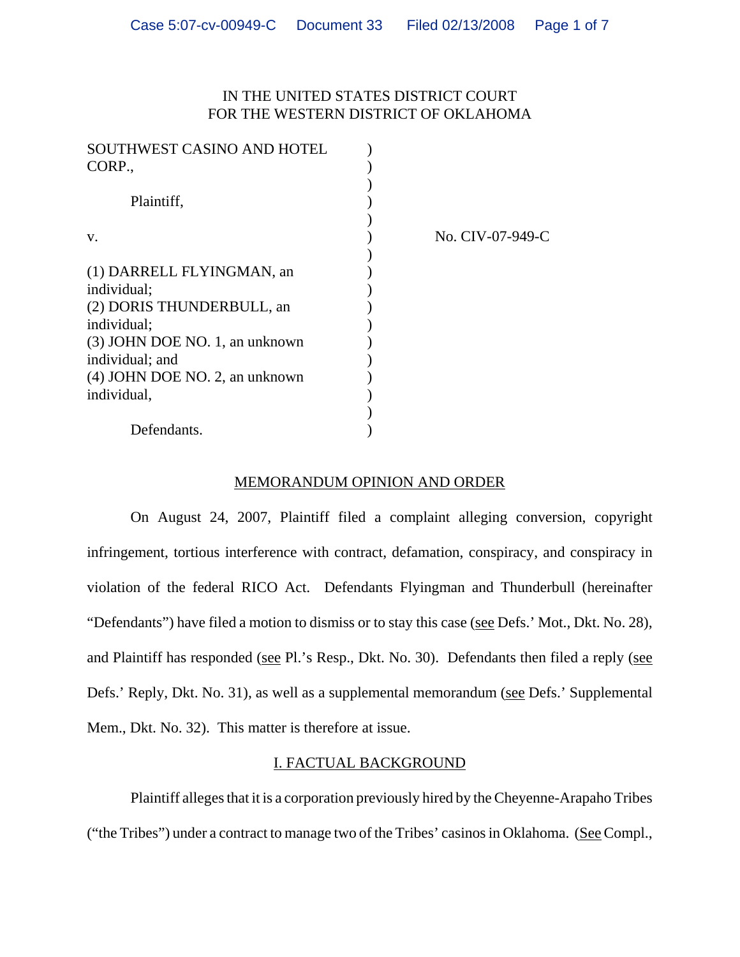## IN THE UNITED STATES DISTRICT COURT FOR THE WESTERN DISTRICT OF OKLAHOMA

| SOUTHWEST CASINO AND HOTEL<br>CORP., |                  |
|--------------------------------------|------------------|
| Plaintiff,                           |                  |
| V.                                   | No. CIV-07-949-C |
| (1) DARRELL FLYINGMAN, an            |                  |
| individual;                          |                  |
| (2) DORIS THUNDERBULL, an            |                  |
| individual;                          |                  |
| (3) JOHN DOE NO. 1, an unknown       |                  |
| individual; and                      |                  |
| (4) JOHN DOE NO. 2, an unknown       |                  |
| individual,                          |                  |
|                                      |                  |
| Defendants.                          |                  |

### MEMORANDUM OPINION AND ORDER

On August 24, 2007, Plaintiff filed a complaint alleging conversion, copyright infringement, tortious interference with contract, defamation, conspiracy, and conspiracy in violation of the federal RICO Act. Defendants Flyingman and Thunderbull (hereinafter "Defendants") have filed a motion to dismiss or to stay this case (see Defs.' Mot., Dkt. No. 28), and Plaintiff has responded (see Pl.'s Resp., Dkt. No. 30). Defendants then filed a reply (see Defs.' Reply, Dkt. No. 31), as well as a supplemental memorandum (see Defs.' Supplemental Mem., Dkt. No. 32). This matter is therefore at issue.

## I. FACTUAL BACKGROUND

Plaintiff alleges that it is a corporation previously hired by the Cheyenne-Arapaho Tribes ("the Tribes") under a contract to manage two of the Tribes' casinos in Oklahoma. (See Compl.,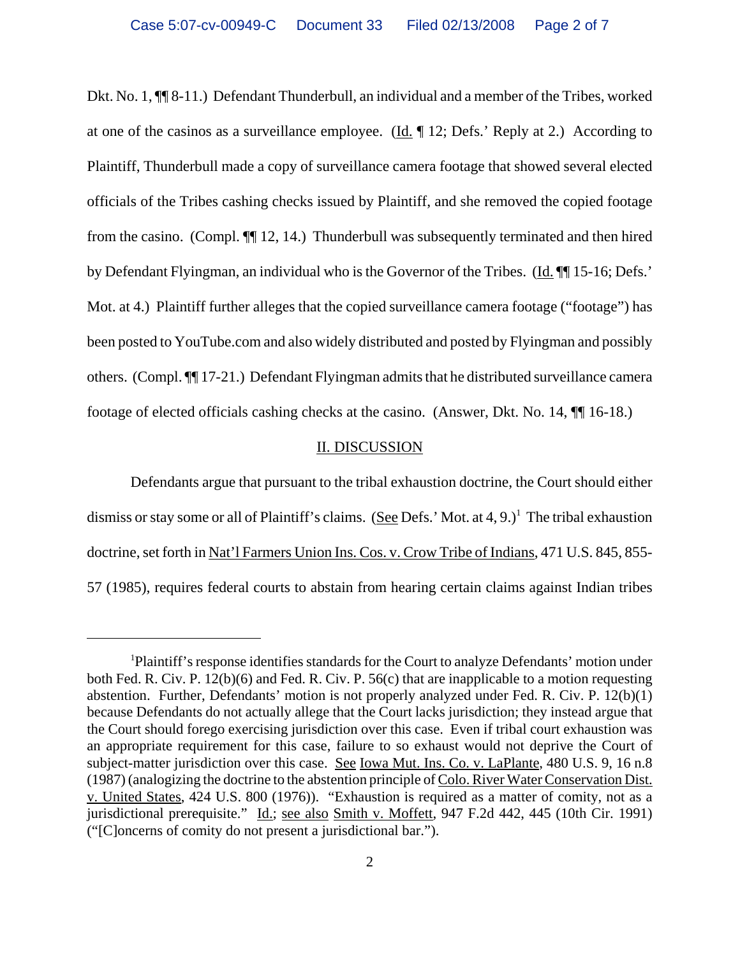Dkt. No. 1, ¶¶ 8-11.) Defendant Thunderbull, an individual and a member of the Tribes, worked at one of the casinos as a surveillance employee. (Id.  $\P$  12; Defs.' Reply at 2.) According to Plaintiff, Thunderbull made a copy of surveillance camera footage that showed several elected officials of the Tribes cashing checks issued by Plaintiff, and she removed the copied footage from the casino. (Compl. ¶¶ 12, 14.) Thunderbull was subsequently terminated and then hired by Defendant Flyingman, an individual who is the Governor of the Tribes. (Id.  $\P$  15-16; Defs.' Mot. at 4.) Plaintiff further alleges that the copied surveillance camera footage ("footage") has been posted to YouTube.com and also widely distributed and posted by Flyingman and possibly others. (Compl. ¶¶ 17-21.) Defendant Flyingman admits that he distributed surveillance camera footage of elected officials cashing checks at the casino. (Answer, Dkt. No. 14, ¶¶ 16-18.)

#### II. DISCUSSION

Defendants argue that pursuant to the tribal exhaustion doctrine, the Court should either dismiss or stay some or all of Plaintiff's claims. (See Defs.' Mot. at 4, 9.)<sup>1</sup> The tribal exhaustion doctrine, set forth in Nat'l Farmers Union Ins. Cos. v. Crow Tribe of Indians, 471 U.S. 845, 855- 57 (1985), requires federal courts to abstain from hearing certain claims against Indian tribes

<sup>&</sup>lt;sup>1</sup>Plaintiff's response identifies standards for the Court to analyze Defendants' motion under both Fed. R. Civ. P. 12(b)(6) and Fed. R. Civ. P. 56(c) that are inapplicable to a motion requesting abstention. Further, Defendants' motion is not properly analyzed under Fed. R. Civ. P. 12(b)(1) because Defendants do not actually allege that the Court lacks jurisdiction; they instead argue that the Court should forego exercising jurisdiction over this case. Even if tribal court exhaustion was an appropriate requirement for this case, failure to so exhaust would not deprive the Court of subject-matter jurisdiction over this case. See Iowa Mut. Ins. Co. v. LaPlante, 480 U.S. 9, 16 n.8 (1987) (analogizing the doctrine to the abstention principle of Colo. River Water Conservation Dist. v. United States, 424 U.S. 800 (1976)). "Exhaustion is required as a matter of comity, not as a jurisdictional prerequisite." Id.; see also Smith v. Moffett, 947 F.2d 442, 445 (10th Cir. 1991) ("[C]oncerns of comity do not present a jurisdictional bar.").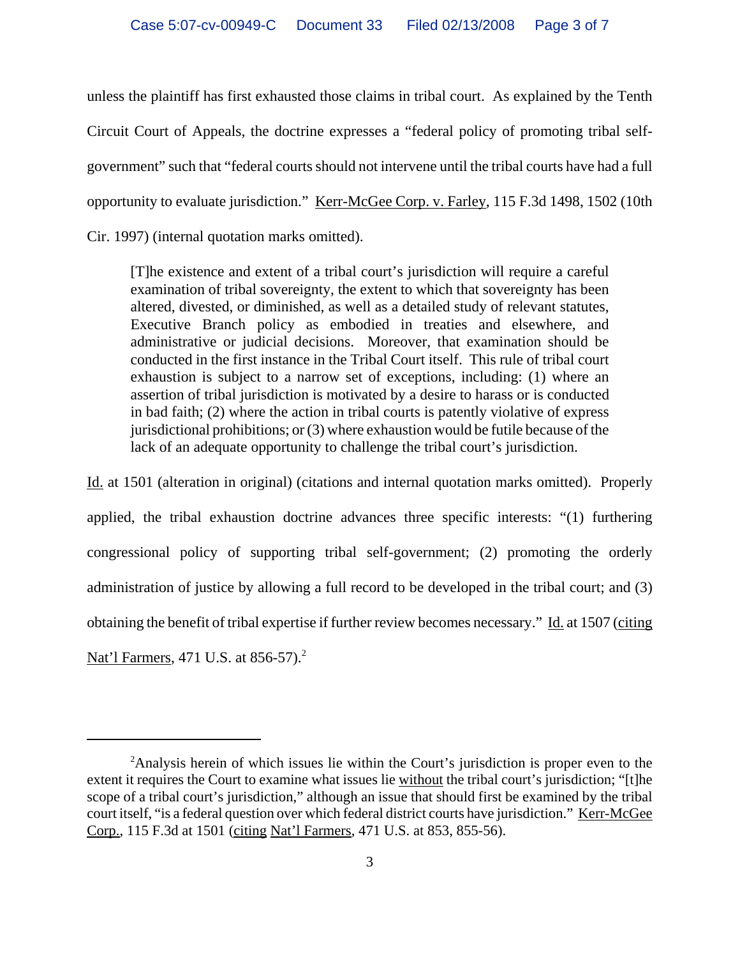unless the plaintiff has first exhausted those claims in tribal court. As explained by the Tenth Circuit Court of Appeals, the doctrine expresses a "federal policy of promoting tribal selfgovernment" such that "federal courts should not intervene until the tribal courts have had a full opportunity to evaluate jurisdiction." Kerr-McGee Corp. v. Farley, 115 F.3d 1498, 1502 (10th Cir. 1997) (internal quotation marks omitted).

[T]he existence and extent of a tribal court's jurisdiction will require a careful examination of tribal sovereignty, the extent to which that sovereignty has been altered, divested, or diminished, as well as a detailed study of relevant statutes, Executive Branch policy as embodied in treaties and elsewhere, and administrative or judicial decisions. Moreover, that examination should be conducted in the first instance in the Tribal Court itself. This rule of tribal court exhaustion is subject to a narrow set of exceptions, including: (1) where an assertion of tribal jurisdiction is motivated by a desire to harass or is conducted in bad faith; (2) where the action in tribal courts is patently violative of express jurisdictional prohibitions; or (3) where exhaustion would be futile because of the lack of an adequate opportunity to challenge the tribal court's jurisdiction.

Id. at 1501 (alteration in original) (citations and internal quotation marks omitted). Properly applied, the tribal exhaustion doctrine advances three specific interests: "(1) furthering congressional policy of supporting tribal self-government; (2) promoting the orderly administration of justice by allowing a full record to be developed in the tribal court; and (3) obtaining the benefit of tribal expertise if further review becomes necessary." Id. at 1507 (citing Nat'l Farmers, 471 U.S. at 856-57).<sup>2</sup>

<sup>&</sup>lt;sup>2</sup>Analysis herein of which issues lie within the Court's jurisdiction is proper even to the extent it requires the Court to examine what issues lie without the tribal court's jurisdiction; "[t]he scope of a tribal court's jurisdiction," although an issue that should first be examined by the tribal court itself, "is a federal question over which federal district courts have jurisdiction." Kerr-McGee Corp., 115 F.3d at 1501 (citing Nat'l Farmers, 471 U.S. at 853, 855-56).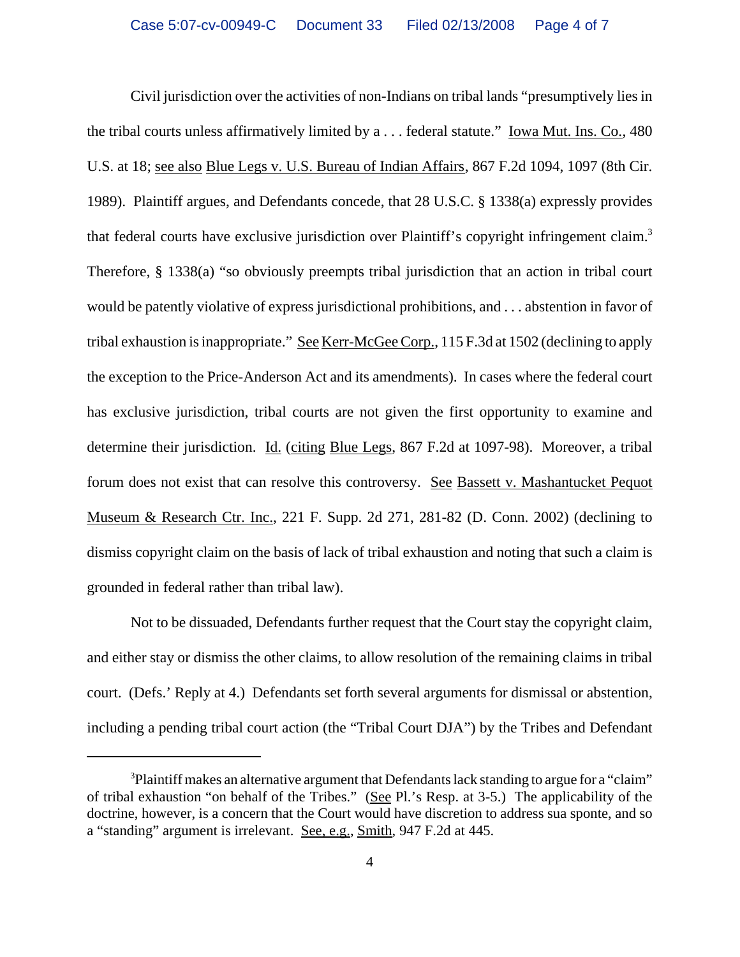Civil jurisdiction over the activities of non-Indians on tribal lands "presumptively lies in the tribal courts unless affirmatively limited by a . . . federal statute." Iowa Mut. Ins. Co., 480 U.S. at 18; see also Blue Legs v. U.S. Bureau of Indian Affairs, 867 F.2d 1094, 1097 (8th Cir. 1989). Plaintiff argues, and Defendants concede, that 28 U.S.C. § 1338(a) expressly provides that federal courts have exclusive jurisdiction over Plaintiff's copyright infringement claim.3 Therefore, § 1338(a) "so obviously preempts tribal jurisdiction that an action in tribal court would be patently violative of express jurisdictional prohibitions, and . . . abstention in favor of tribal exhaustion is inappropriate." See Kerr-McGee Corp., 115 F.3d at 1502 (declining to apply the exception to the Price-Anderson Act and its amendments). In cases where the federal court has exclusive jurisdiction, tribal courts are not given the first opportunity to examine and determine their jurisdiction. Id. (citing Blue Legs, 867 F.2d at 1097-98). Moreover, a tribal forum does not exist that can resolve this controversy. See Bassett v. Mashantucket Pequot Museum & Research Ctr. Inc., 221 F. Supp. 2d 271, 281-82 (D. Conn. 2002) (declining to dismiss copyright claim on the basis of lack of tribal exhaustion and noting that such a claim is grounded in federal rather than tribal law).

Not to be dissuaded, Defendants further request that the Court stay the copyright claim, and either stay or dismiss the other claims, to allow resolution of the remaining claims in tribal court. (Defs.' Reply at 4.) Defendants set forth several arguments for dismissal or abstention, including a pending tribal court action (the "Tribal Court DJA") by the Tribes and Defendant

 $3$ Plaintiff makes an alternative argument that Defendants lack standing to argue for a "claim" of tribal exhaustion "on behalf of the Tribes." (See Pl.'s Resp. at 3-5.) The applicability of the doctrine, however, is a concern that the Court would have discretion to address sua sponte, and so a "standing" argument is irrelevant. See, e.g., Smith, 947 F.2d at 445.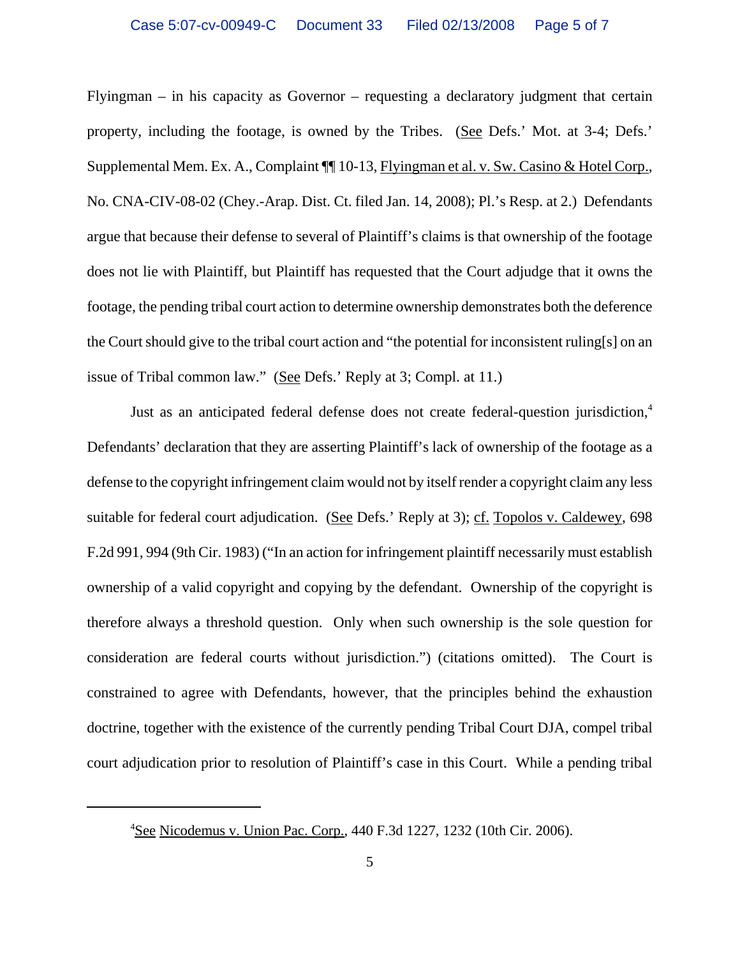Flyingman – in his capacity as Governor – requesting a declaratory judgment that certain property, including the footage, is owned by the Tribes. (See Defs.' Mot. at 3-4; Defs.' Supplemental Mem. Ex. A., Complaint  $\P$  10-13, Flyingman et al. v. Sw. Casino & Hotel Corp., No. CNA-CIV-08-02 (Chey.-Arap. Dist. Ct. filed Jan. 14, 2008); Pl.'s Resp. at 2.) Defendants argue that because their defense to several of Plaintiff's claims is that ownership of the footage does not lie with Plaintiff, but Plaintiff has requested that the Court adjudge that it owns the footage, the pending tribal court action to determine ownership demonstrates both the deference the Court should give to the tribal court action and "the potential for inconsistent ruling[s] on an issue of Tribal common law." (See Defs.' Reply at 3; Compl. at 11.)

Just as an anticipated federal defense does not create federal-question jurisdiction,<sup>4</sup> Defendants' declaration that they are asserting Plaintiff's lack of ownership of the footage as a defense to the copyright infringement claim would not by itself render a copyright claim any less suitable for federal court adjudication. (See Defs.' Reply at 3); cf. Topolos v. Caldewey, 698 F.2d 991, 994 (9th Cir. 1983) ("In an action for infringement plaintiff necessarily must establish ownership of a valid copyright and copying by the defendant. Ownership of the copyright is therefore always a threshold question. Only when such ownership is the sole question for consideration are federal courts without jurisdiction.") (citations omitted). The Court is constrained to agree with Defendants, however, that the principles behind the exhaustion doctrine, together with the existence of the currently pending Tribal Court DJA, compel tribal court adjudication prior to resolution of Plaintiff's case in this Court. While a pending tribal

<sup>&</sup>lt;sup>4</sup>See Nicodemus v. Union Pac. Corp., 440 F.3d 1227, 1232 (10th Cir. 2006).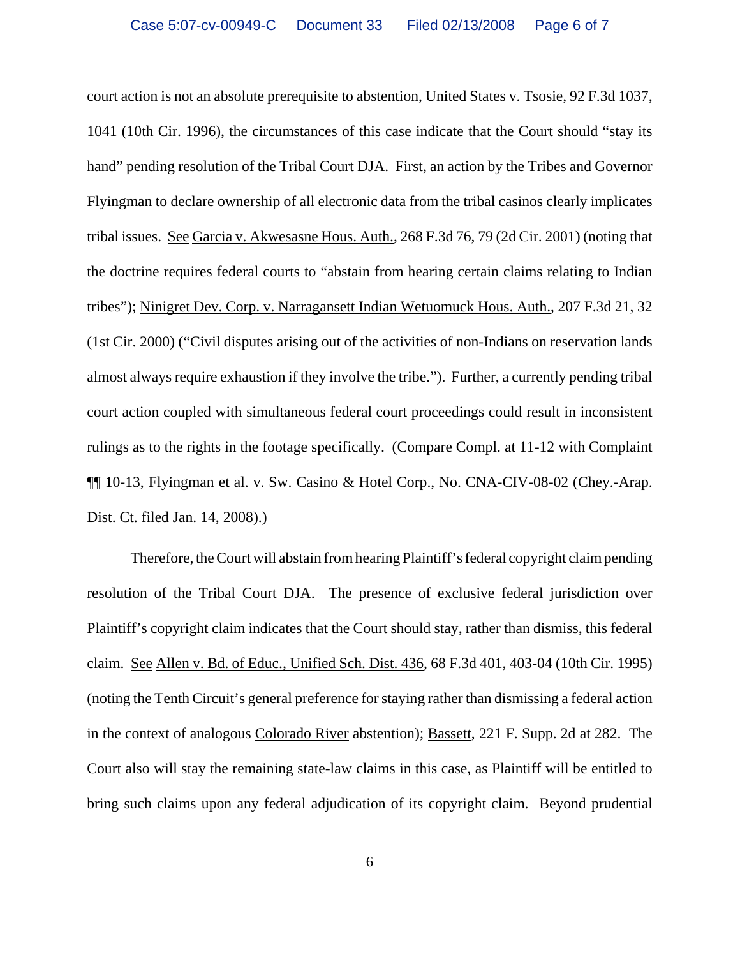court action is not an absolute prerequisite to abstention, United States v. Tsosie, 92 F.3d 1037, 1041 (10th Cir. 1996), the circumstances of this case indicate that the Court should "stay its hand" pending resolution of the Tribal Court DJA. First, an action by the Tribes and Governor Flyingman to declare ownership of all electronic data from the tribal casinos clearly implicates tribal issues. See Garcia v. Akwesasne Hous. Auth., 268 F.3d 76, 79 (2d Cir. 2001) (noting that the doctrine requires federal courts to "abstain from hearing certain claims relating to Indian tribes"); Ninigret Dev. Corp. v. Narragansett Indian Wetuomuck Hous. Auth., 207 F.3d 21, 32 (1st Cir. 2000) ("Civil disputes arising out of the activities of non-Indians on reservation lands almost always require exhaustion if they involve the tribe."). Further, a currently pending tribal court action coupled with simultaneous federal court proceedings could result in inconsistent rulings as to the rights in the footage specifically. (Compare Compl. at 11-12 with Complaint ¶¶ 10-13, Flyingman et al. v. Sw. Casino & Hotel Corp., No. CNA-CIV-08-02 (Chey.-Arap. Dist. Ct. filed Jan. 14, 2008).)

Therefore, the Court will abstain from hearing Plaintiff's federal copyright claim pending resolution of the Tribal Court DJA. The presence of exclusive federal jurisdiction over Plaintiff's copyright claim indicates that the Court should stay, rather than dismiss, this federal claim. See Allen v. Bd. of Educ., Unified Sch. Dist. 436, 68 F.3d 401, 403-04 (10th Cir. 1995) (noting the Tenth Circuit's general preference for staying rather than dismissing a federal action in the context of analogous Colorado River abstention); Bassett, 221 F. Supp. 2d at 282. The Court also will stay the remaining state-law claims in this case, as Plaintiff will be entitled to bring such claims upon any federal adjudication of its copyright claim. Beyond prudential